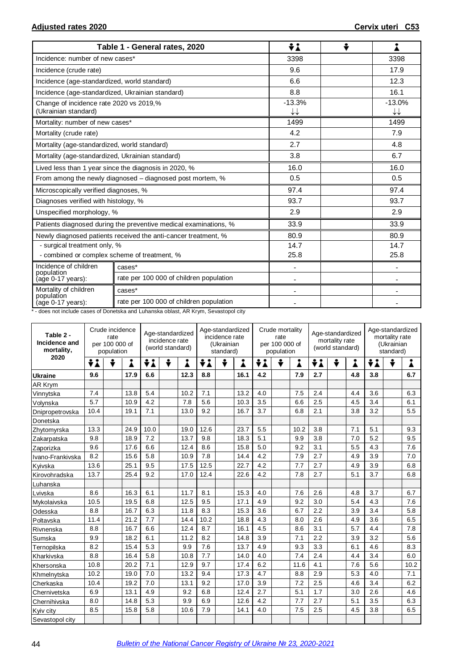|                                                                 | Table 1 - General rates, 2020                                    | ÷λ             | ÷ |                |
|-----------------------------------------------------------------|------------------------------------------------------------------|----------------|---|----------------|
| Incidence: number of new cases*                                 |                                                                  | 3398           |   | 3398           |
| Incidence (crude rate)                                          |                                                                  | 9.6            |   | 17.9           |
| Incidence (age-standardized, world standard)                    |                                                                  | 6.6            |   | 12.3           |
| Incidence (age-standardized, Ukrainian standard)                |                                                                  | 8.8            |   | 16.1           |
| Change of incidence rate 2020 vs 2019,%<br>(Ukrainian standard) |                                                                  | $-13.3%$<br>↓↓ |   | $-13.0%$<br>↓↓ |
| Mortality: number of new cases*                                 |                                                                  | 1499           |   | 1499           |
| Mortality (crude rate)                                          |                                                                  | 4.2            |   | 7.9            |
| Mortality (age-standardized, world standard)                    |                                                                  | 2.7            |   | 4.8            |
| Mortality (age-standardized, Ukrainian standard)                |                                                                  | 3.8            |   | 6.7            |
|                                                                 | Lived less than 1 year since the diagnosis in 2020, %            | 16.0           |   | 16.0           |
|                                                                 | From among the newly diagnosed – diagnosed post mortem, %        | 0.5            |   | 0.5            |
| Microscopically verified diagnoses, %                           |                                                                  | 97.4           |   | 97.4           |
| Diagnoses verified with histology, %                            |                                                                  | 93.7           |   | 93.7           |
| Unspecified morphology, %                                       |                                                                  | 2.9            |   | 2.9            |
|                                                                 | Patients diagnosed during the preventive medical examinations, % | 33.9           |   | 33.9           |
|                                                                 | Newly diagnosed patients received the anti-cancer treatment, %   | 80.9           |   | 80.9           |
| - surgical treatment only, %                                    |                                                                  | 14.7           |   | 14.7           |
| - combined or complex scheme of treatment, %                    |                                                                  | 25.8           |   | 25.8           |
| Incidence of children<br>population                             | cases*                                                           | $\blacksquare$ |   | ä,             |
| (age 0-17 years):                                               | rate per 100 000 of children population                          |                |   |                |
| Mortality of children<br>population                             | cases*                                                           |                |   |                |
| (age 0-17 years):                                               | rate per 100 000 of children population                          |                |   |                |

\* - does not include cases of Donetska and Luhanska oblast, AR Krym, Sevastopol city

| Table 2 -<br>Incidence and<br>mortality, | Crude incidence<br>rate<br>per 100 000 of<br>population |  |      | Age-standardized<br>incidence rate<br>(world standard) |  | Age-standardized<br>incidence rate<br>(Ukrainian<br>standard) |      |   | Crude mortality<br>rate<br>per 100 000 of<br>population |     |   | Age-standardized<br>mortality rate<br>(world standard) |     | Age-standardized<br>mortality rate<br>(Ukrainian<br>standard) |     |     |   |      |
|------------------------------------------|---------------------------------------------------------|--|------|--------------------------------------------------------|--|---------------------------------------------------------------|------|---|---------------------------------------------------------|-----|---|--------------------------------------------------------|-----|---------------------------------------------------------------|-----|-----|---|------|
| 2020                                     | ÷i<br>÷<br>i                                            |  |      | ÷<br>÷i<br>i                                           |  |                                                               | ÷i   | ÷ | Å                                                       | ÷i  | ÷ | 1                                                      | ÷i  | ÷                                                             | Å   | ÷i  | ÷ | ▲    |
| <b>Ukraine</b>                           | 9.6                                                     |  | 17.9 | 6.6                                                    |  | 12.3                                                          | 8.8  |   | 16.1                                                    | 4.2 |   | 7.9                                                    | 2.7 |                                                               | 4.8 | 3.8 |   | 6.7  |
| AR Krym                                  |                                                         |  |      |                                                        |  |                                                               |      |   |                                                         |     |   |                                                        |     |                                                               |     |     |   |      |
| Vinnytska                                | 7.4                                                     |  | 13.8 | 5.4                                                    |  | 10.2                                                          | 7.1  |   | 13.2                                                    | 4.0 |   | 7.5                                                    | 2.4 |                                                               | 4.4 | 3.6 |   | 6.3  |
| Volynska                                 | 5.7                                                     |  | 10.9 | 4.2                                                    |  | 7.8                                                           | 5.6  |   | 10.3                                                    | 3.5 |   | 6.6                                                    | 2.5 |                                                               | 4.5 | 3.4 |   | 6.1  |
| Dnipropetrovska                          | 10.4                                                    |  | 19.1 | 7.1                                                    |  | 13.0                                                          | 9.2  |   | 16.7                                                    | 3.7 |   | 6.8                                                    | 2.1 |                                                               | 3.8 | 3.2 |   | 5.5  |
| Donetska                                 |                                                         |  |      |                                                        |  |                                                               |      |   |                                                         |     |   |                                                        |     |                                                               |     |     |   |      |
| Zhytomyrska                              | 13.3                                                    |  | 24.9 | 10.0                                                   |  | 19.0                                                          | 12.6 |   | 23.7                                                    | 5.5 |   | 10.2                                                   | 3.8 |                                                               | 7.1 | 5.1 |   | 9.3  |
| Zakarpatska                              | 9.8                                                     |  | 18.9 | 7.2                                                    |  | 13.7                                                          | 9.8  |   | 18.3                                                    | 5.1 |   | 9.9                                                    | 3.8 |                                                               | 7.0 | 5.2 |   | 9.5  |
| Zaporizka                                | 9.6                                                     |  | 17.6 | 6.6                                                    |  | 12.4                                                          | 8.6  |   | 15.8                                                    | 5.0 |   | 9.2                                                    | 3.1 |                                                               | 5.5 | 4.3 |   | 7.6  |
| Ivano-Frankivska                         | 8.2                                                     |  | 15.6 | 5.8                                                    |  | 10.9                                                          | 7.8  |   | 14.4                                                    | 4.2 |   | 7.9                                                    | 2.7 |                                                               | 4.9 | 3.9 |   | 7.0  |
| Kyivska                                  | 13.6                                                    |  | 25.1 | 9.5                                                    |  | 17.5                                                          | 12.5 |   | 22.7                                                    | 4.2 |   | 7.7                                                    | 2.7 |                                                               | 4.9 | 3.9 |   | 6.8  |
| Kirovohradska                            | 13.7                                                    |  | 25.4 | 9.2                                                    |  | 17.0                                                          | 12.4 |   | 22.6                                                    | 4.2 |   | 7.8                                                    | 2.7 |                                                               | 5.1 | 3.7 |   | 6.8  |
| Luhanska                                 |                                                         |  |      |                                                        |  |                                                               |      |   |                                                         |     |   |                                                        |     |                                                               |     |     |   |      |
| Lvivska                                  | 8.6                                                     |  | 16.3 | 6.1                                                    |  | 11.7                                                          | 8.1  |   | 15.3                                                    | 4.0 |   | 7.6                                                    | 2.6 |                                                               | 4.8 | 3.7 |   | 6.7  |
| Mvkolaivska                              | 10.5                                                    |  | 19.5 | 6.8                                                    |  | 12.5                                                          | 9.5  |   | 17.1                                                    | 4.9 |   | 9.2                                                    | 3.0 |                                                               | 5.4 | 4.3 |   | 7.6  |
| Odesska                                  | 8.8                                                     |  | 16.7 | 6.3                                                    |  | 11.8                                                          | 8.3  |   | 15.3                                                    | 3.6 |   | 6.7                                                    | 2.2 |                                                               | 3.9 | 3.4 |   | 5.8  |
| Poltavska                                | 11.4                                                    |  | 21.2 | 7.7                                                    |  | 14.4                                                          | 10.2 |   | 18.8                                                    | 4.3 |   | 8.0                                                    | 2.6 |                                                               | 4.9 | 3.6 |   | 6.5  |
| Rivnenska                                | 8.8                                                     |  | 16.7 | 6.6                                                    |  | 12.4                                                          | 8.7  |   | 16.1                                                    | 4.5 |   | 8.6                                                    | 3.1 |                                                               | 5.7 | 4.4 |   | 7.8  |
| Sumska                                   | 9.9                                                     |  | 18.2 | 6.1                                                    |  | 11.2                                                          | 8.2  |   | 14.8                                                    | 3.9 |   | 7.1                                                    | 2.2 |                                                               | 3.9 | 3.2 |   | 5.6  |
| Ternopilska                              | 8.2                                                     |  | 15.4 | 5.3                                                    |  | 9.9                                                           | 7.6  |   | 13.7                                                    | 4.9 |   | 9.3                                                    | 3.3 |                                                               | 6.1 | 4.6 |   | 8.3  |
| Kharkivska                               | 8.8                                                     |  | 16.4 | 5.8                                                    |  | 10.8                                                          | 7.7  |   | 14.0                                                    | 4.0 |   | 7.4                                                    | 2.4 |                                                               | 4.4 | 3.4 |   | 6.0  |
| Khersonska                               | 10.8                                                    |  | 20.2 | 7.1                                                    |  | 12.9                                                          | 9.7  |   | 17.4                                                    | 6.2 |   | 11.6                                                   | 4.1 |                                                               | 7.6 | 5.6 |   | 10.2 |
| Khmelnytska                              | 10.2                                                    |  | 19.0 | 7.0                                                    |  | 13.2                                                          | 9.4  |   | 17.3                                                    | 4.7 |   | 8.8                                                    | 2.9 |                                                               | 5.3 | 4.0 |   | 7.1  |
| Cherkaska                                | 10.4                                                    |  | 19.2 | 7.0                                                    |  | 13.1                                                          | 9.2  |   | 17.0                                                    | 3.9 |   | 7.2                                                    | 2.5 |                                                               | 4.6 | 3.4 |   | 6.2  |
| Chernivetska                             | 6.9                                                     |  | 13.1 | 4.9                                                    |  | 9.2                                                           | 6.8  |   | 12.4                                                    | 2.7 |   | 5.1                                                    | 1.7 |                                                               | 3.0 | 2.6 |   | 4.6  |
| Chernihivska                             | 8.0                                                     |  | 14.8 | 5.3                                                    |  | 9.9                                                           | 6.9  |   | 12.6                                                    | 4.2 |   | 7.7                                                    | 2.7 |                                                               | 5.1 | 3.5 |   | 6.3  |
| Kyiv city                                | 8.5                                                     |  | 15.8 | 5.8                                                    |  | 10.6                                                          | 7.9  |   | 14.1                                                    | 4.0 |   | 7.5                                                    | 2.5 |                                                               | 4.5 | 3.8 |   | 6.5  |
| Sevastopol city                          |                                                         |  |      |                                                        |  |                                                               |      |   |                                                         |     |   |                                                        |     |                                                               |     |     |   |      |